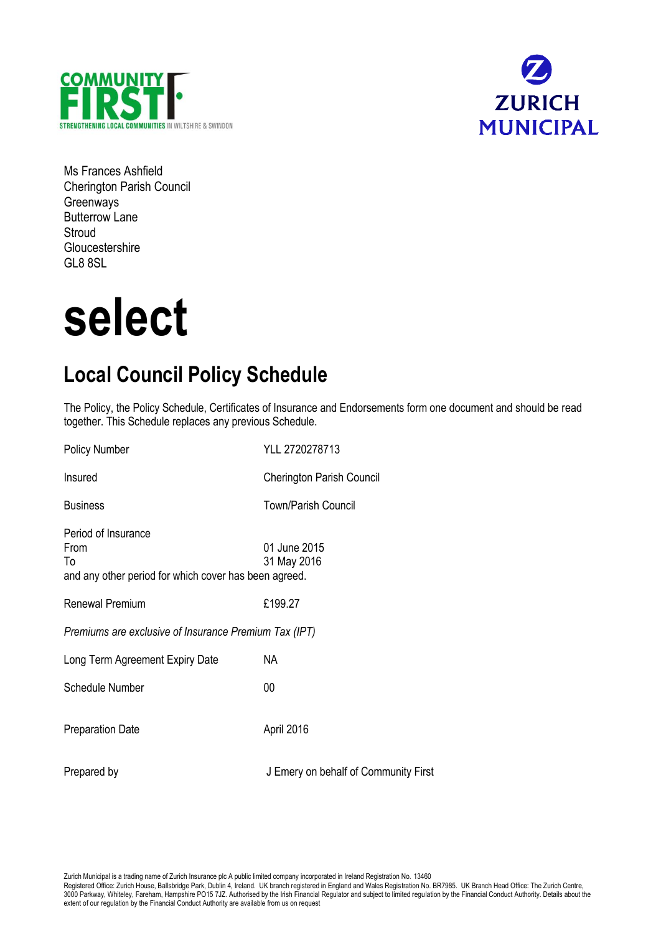



Ms Frances Ashfield Cherington Parish Council Greenways Butterrow Lane **Stroud Gloucestershire** GL8 8SL

# **select**

# **Local Council Policy Schedule**

The Policy, the Policy Schedule, Certificates of Insurance and Endorsements form one document and should be read together. This Schedule replaces any previous Schedule.

| <b>Policy Number</b>                                                                       | YLL 2720278713                       |
|--------------------------------------------------------------------------------------------|--------------------------------------|
| Insured                                                                                    | <b>Cherington Parish Council</b>     |
| <b>Business</b>                                                                            | <b>Town/Parish Council</b>           |
| Period of Insurance<br>From<br>To<br>and any other period for which cover has been agreed. | 01 June 2015<br>31 May 2016          |
| <b>Renewal Premium</b>                                                                     | £199.27                              |
| Premiums are exclusive of Insurance Premium Tax (IPT)                                      |                                      |
| Long Term Agreement Expiry Date                                                            | NA.                                  |
| <b>Schedule Number</b>                                                                     | $00\,$                               |
| <b>Preparation Date</b>                                                                    | April 2016                           |
| Prepared by                                                                                | J Emery on behalf of Community First |

Zurich Municipal is a trading name of Zurich Insurance plc A public limited company incorporated in Ireland Registration No. 13460

Registered Office: Zurich House, Ballsbridge Park, Dublin 4, Ireland. UK branch registered in England and Wales Registration No. BR7985. UK Branch Head Office: The Zurich Centre, 3000 Parkway, Whiteley, Fareham, Hampshire PO15 7JZ. Authorised by the Irish Financial Regulator and subject to limited regulation by the Financial Conduct Authority. Details about the extent of our regulation by the Financial Conduct Authority are available from us on request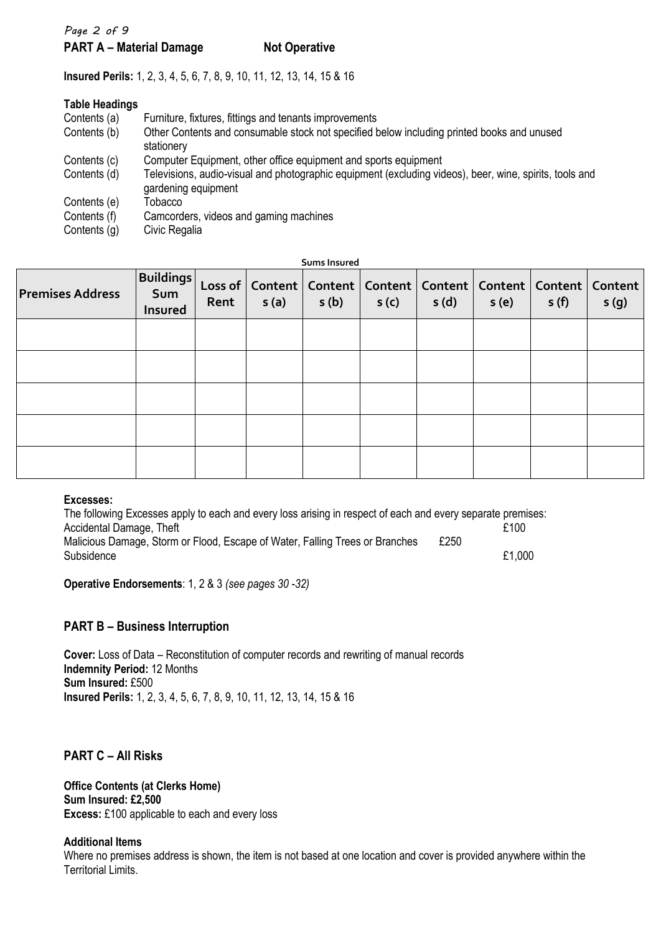# *Page 2 of 9* **PART A – Material Damage Not Operative**

**Insured Perils:** 1, 2, 3, 4, 5, 6, 7, 8, 9, 10, 11, 12, 13, 14, 15 & 16

| <b>Table Headings</b> |                                                                                                                                |
|-----------------------|--------------------------------------------------------------------------------------------------------------------------------|
| Contents (a)          | Furniture, fixtures, fittings and tenants improvements                                                                         |
| Contents (b)          | Other Contents and consumable stock not specified below including printed books and unused<br>stationery                       |
| Contents (c)          | Computer Equipment, other office equipment and sports equipment                                                                |
| Contents (d)          | Televisions, audio-visual and photographic equipment (excluding videos), beer, wine, spirits, tools and<br>gardening equipment |
| Contents (e)          | Tobacco                                                                                                                        |
| Contents (f)          | Camcorders, videos and gaming machines                                                                                         |
| Contents (g)          | Civic Regalia                                                                                                                  |

**Sums Insured**

| <b>Premises Address</b> | <b>Buildings</b><br>Sum<br><b>Insured</b> | Rent | s(a) | s(b) | s(c) | Loss of   Content   Content   Content   Content   Content   Content   Content  <br>s(d) | s(e) | s(f) | s(g) |
|-------------------------|-------------------------------------------|------|------|------|------|-----------------------------------------------------------------------------------------|------|------|------|
|                         |                                           |      |      |      |      |                                                                                         |      |      |      |
|                         |                                           |      |      |      |      |                                                                                         |      |      |      |
|                         |                                           |      |      |      |      |                                                                                         |      |      |      |
|                         |                                           |      |      |      |      |                                                                                         |      |      |      |
|                         |                                           |      |      |      |      |                                                                                         |      |      |      |

#### **Excesses:**

The following Excesses apply to each and every loss arising in respect of each and every separate premises:<br>Accidental Damage, Theft<br>100 Accidental Damage, Theft Malicious Damage, Storm or Flood, Escape of Water, Falling Trees or Branches £250<br>Subsidence Subsidence  $£1,000$ 

**Operative Endorsements**: 1, 2 & 3 *(see pages 30 -32)*

# **PART B – Business Interruption**

**Cover:** Loss of Data – Reconstitution of computer records and rewriting of manual records **Indemnity Period:** 12 Months **Sum Insured:** £500 **Insured Perils:** 1, 2, 3, 4, 5, 6, 7, 8, 9, 10, 11, 12, 13, 14, 15 & 16

# **PART C – All Risks**

**Office Contents (at Clerks Home) Sum Insured: £2,500 Excess:** £100 applicable to each and every loss

#### **Additional Items**

Where no premises address is shown, the item is not based at one location and cover is provided anywhere within the Territorial Limits.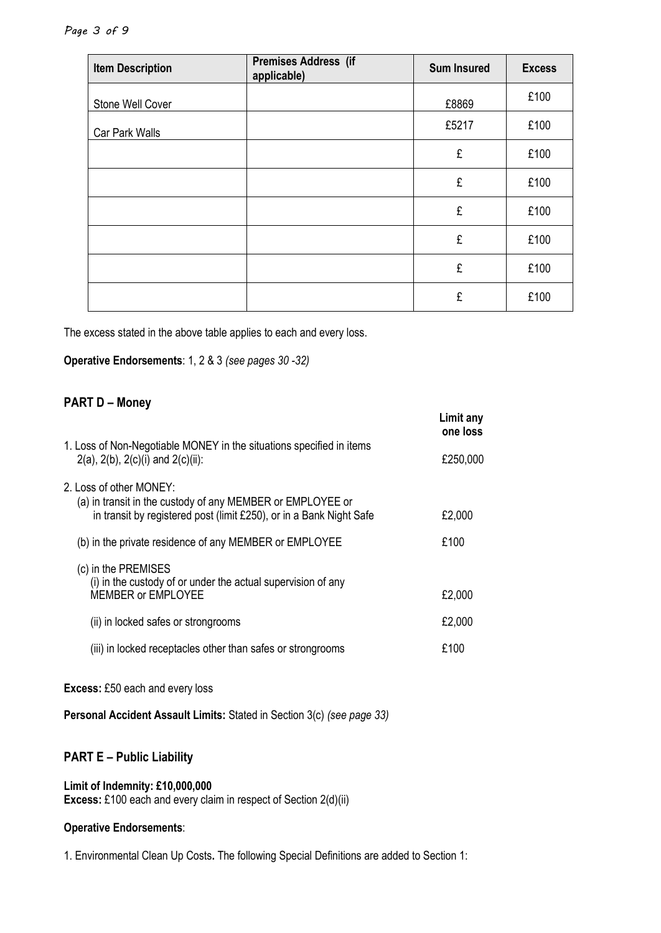| <b>Item Description</b> | Premises Address (if<br>applicable) | <b>Sum Insured</b> | <b>Excess</b> |
|-------------------------|-------------------------------------|--------------------|---------------|
| Stone Well Cover        |                                     | £8869              | £100          |
| Car Park Walls          |                                     | £5217              | £100          |
|                         |                                     | £                  | £100          |
|                         |                                     | £                  | £100          |
|                         |                                     | £                  | £100          |
|                         |                                     | £                  | £100          |
|                         |                                     | £                  | £100          |
|                         |                                     | £                  | £100          |

The excess stated in the above table applies to each and every loss.

**Operative Endorsements**: 1, 2 & 3 *(see pages 30 -32)*

# **PART D – Money**

|                                                                                                                                                              | Limit any<br>one loss |
|--------------------------------------------------------------------------------------------------------------------------------------------------------------|-----------------------|
| 1. Loss of Non-Negotiable MONEY in the situations specified in items<br>$2(a)$ , $2(b)$ , $2(c)(i)$ and $2(c)(ii)$ :                                         | £250,000              |
| 2. Loss of other MONEY:<br>(a) in transit in the custody of any MEMBER or EMPLOYEE or<br>in transit by registered post (limit £250), or in a Bank Night Safe | £2,000                |
| (b) in the private residence of any MEMBER or EMPLOYEE                                                                                                       | £100                  |
| (c) in the PREMISES<br>(i) in the custody of or under the actual supervision of any<br><b>MEMBER or EMPLOYEE</b>                                             | £2,000                |
| (ii) in locked safes or strongrooms                                                                                                                          | £2,000                |
| (iii) in locked receptacles other than safes or strongrooms                                                                                                  | £100                  |

**Excess:** £50 each and every loss

**Personal Accident Assault Limits:** Stated in Section 3(c) *(see page 33)*

# **PART E – Public Liability**

#### **Limit of Indemnity: £10,000,000**

**Excess:** £100 each and every claim in respect of Section 2(d)(ii)

#### **Operative Endorsements**:

1. Environmental Clean Up Costs**.** The following Special Definitions are added to Section 1: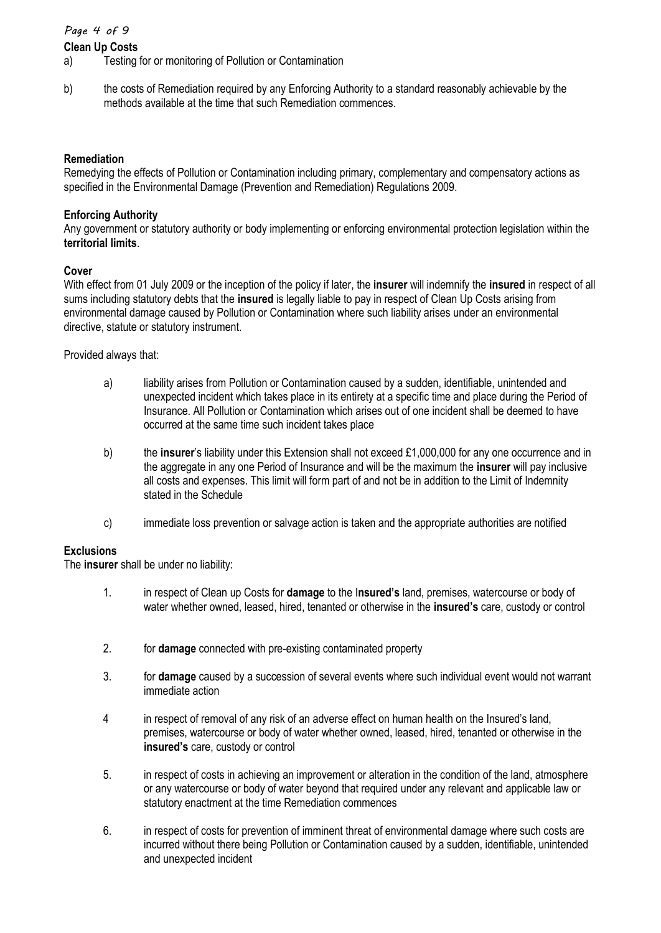#### *Page 4 of 9*

#### **Clean Up Costs**

- a) Testing for or monitoring of Pollution or Contamination
- b) the costs of Remediation required by any Enforcing Authority to a standard reasonably achievable by the methods available at the time that such Remediation commences.

#### **Remediation**

Remedying the effects of Pollution or Contamination including primary, complementary and compensatory actions as specified in the Environmental Damage (Prevention and Remediation) Regulations 2009.

#### **Enforcing Authority**

Any government or statutory authority or body implementing or enforcing environmental protection legislation within the **territorial limits**.

#### **Cover**

With effect from 01 July 2009 or the inception of the policy if later, the **insurer** will indemnify the **insured** in respect of all sums including statutory debts that the **insured** is legally liable to pay in respect of Clean Up Costs arising from environmental damage caused by Pollution or Contamination where such liability arises under an environmental directive, statute or statutory instrument.

Provided always that:

- a) liability arises from Pollution or Contamination caused by a sudden, identifiable, unintended and unexpected incident which takes place in its entirety at a specific time and place during the Period of Insurance. All Pollution or Contamination which arises out of one incident shall be deemed to have occurred at the same time such incident takes place
- b) the **insurer**'s liability under this Extension shall not exceed £1,000,000 for any one occurrence and in the aggregate in any one Period of Insurance and will be the maximum the **insurer** will pay inclusive all costs and expenses. This limit will form part of and not be in addition to the Limit of Indemnity stated in the Schedule
- c) immediate loss prevention or salvage action is taken and the appropriate authorities are notified

#### **Exclusions**

The **insurer** shall be under no liability:

- 1. in respect of Clean up Costs for **damage** to the I**nsured's** land, premises, watercourse or body of water whether owned, leased, hired, tenanted or otherwise in the **insured's** care, custody or control
- 2. for **damage** connected with pre-existing contaminated property
- 3. for **damage** caused by a succession of several events where such individual event would not warrant immediate action
- 4 in respect of removal of any risk of an adverse effect on human health on the Insured's land, premises, watercourse or body of water whether owned, leased, hired, tenanted or otherwise in the **insured's** care, custody or control
- 5. in respect of costs in achieving an improvement or alteration in the condition of the land, atmosphere or any watercourse or body of water beyond that required under any relevant and applicable law or statutory enactment at the time Remediation commences
- 6. in respect of costs for prevention of imminent threat of environmental damage where such costs are incurred without there being Pollution or Contamination caused by a sudden, identifiable, unintended and unexpected incident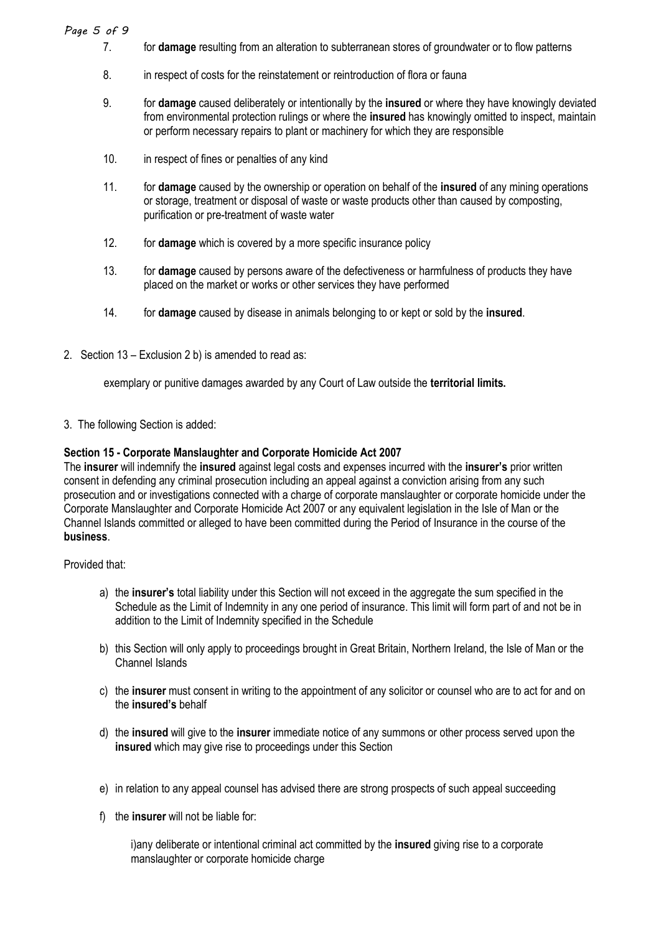#### *Page 5 of 9*

- 7. for **damage** resulting from an alteration to subterranean stores of groundwater or to flow patterns
- 8. in respect of costs for the reinstatement or reintroduction of flora or fauna
- 9. for **damage** caused deliberately or intentionally by the **insured** or where they have knowingly deviated from environmental protection rulings or where the **insured** has knowingly omitted to inspect, maintain or perform necessary repairs to plant or machinery for which they are responsible
- 10. in respect of fines or penalties of any kind
- 11. for **damage** caused by the ownership or operation on behalf of the **insured** of any mining operations or storage, treatment or disposal of waste or waste products other than caused by composting, purification or pre-treatment of waste water
- 12. for **damage** which is covered by a more specific insurance policy
- 13. for **damage** caused by persons aware of the defectiveness or harmfulness of products they have placed on the market or works or other services they have performed
- 14. for **damage** caused by disease in animals belonging to or kept or sold by the **insured**.
- 2. Section 13 Exclusion 2 b) is amended to read as:

exemplary or punitive damages awarded by any Court of Law outside the **territorial limits.**

3. The following Section is added:

#### **Section 15 - Corporate Manslaughter and Corporate Homicide Act 2007**

The **insurer** will indemnify the **insured** against legal costs and expenses incurred with the **insurer's** prior written consent in defending any criminal prosecution including an appeal against a conviction arising from any such prosecution and or investigations connected with a charge of corporate manslaughter or corporate homicide under the Corporate Manslaughter and Corporate Homicide Act 2007 or any equivalent legislation in the Isle of Man or the Channel Islands committed or alleged to have been committed during the Period of Insurance in the course of the **business**.

Provided that:

- a) the **insurer's** total liability under this Section will not exceed in the aggregate the sum specified in the Schedule as the Limit of Indemnity in any one period of insurance. This limit will form part of and not be in addition to the Limit of Indemnity specified in the Schedule
- b) this Section will only apply to proceedings brought in Great Britain, Northern Ireland, the Isle of Man or the Channel Islands
- c) the **insurer** must consent in writing to the appointment of any solicitor or counsel who are to act for and on the **insured's** behalf
- d) the **insured** will give to the **insurer** immediate notice of any summons or other process served upon the **insured** which may give rise to proceedings under this Section
- e) in relation to any appeal counsel has advised there are strong prospects of such appeal succeeding
- f) the **insurer** will not be liable for:

i)any deliberate or intentional criminal act committed by the **insured** giving rise to a corporate manslaughter or corporate homicide charge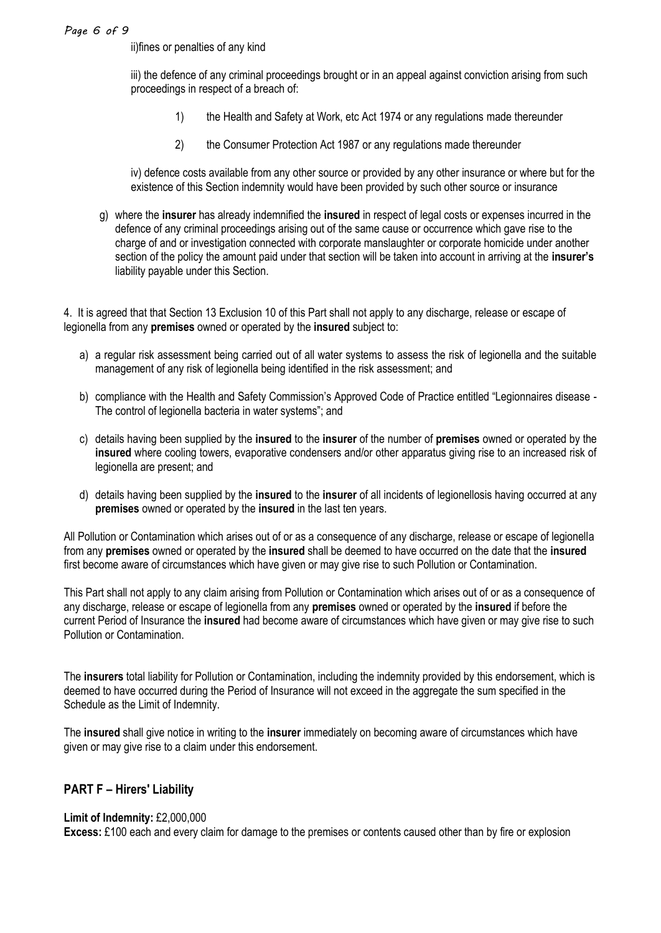#### *Page 6 of 9*

ii)fines or penalties of any kind

iii) the defence of any criminal proceedings brought or in an appeal against conviction arising from such proceedings in respect of a breach of:

- 1) the Health and Safety at Work, etc Act 1974 or any regulations made thereunder
- 2) the Consumer Protection Act 1987 or any regulations made thereunder

iv) defence costs available from any other source or provided by any other insurance or where but for the existence of this Section indemnity would have been provided by such other source or insurance

g) where the **insurer** has already indemnified the **insured** in respect of legal costs or expenses incurred in the defence of any criminal proceedings arising out of the same cause or occurrence which gave rise to the charge of and or investigation connected with corporate manslaughter or corporate homicide under another section of the policy the amount paid under that section will be taken into account in arriving at the **insurer's** liability payable under this Section.

4. It is agreed that that Section 13 Exclusion 10 of this Part shall not apply to any discharge, release or escape of legionella from any **premises** owned or operated by the **insured** subject to:

- a) a regular risk assessment being carried out of all water systems to assess the risk of legionella and the suitable management of any risk of legionella being identified in the risk assessment; and
- b) compliance with the Health and Safety Commission's Approved Code of Practice entitled "Legionnaires disease The control of legionella bacteria in water systems"; and
- c) details having been supplied by the **insured** to the **insurer** of the number of **premises** owned or operated by the **insured** where cooling towers, evaporative condensers and/or other apparatus giving rise to an increased risk of legionella are present; and
- d) details having been supplied by the **insured** to the **insurer** of all incidents of legionellosis having occurred at any **premises** owned or operated by the **insured** in the last ten years.

All Pollution or Contamination which arises out of or as a consequence of any discharge, release or escape of legionella from any **premises** owned or operated by the **insured** shall be deemed to have occurred on the date that the **insured** first become aware of circumstances which have given or may give rise to such Pollution or Contamination.

This Part shall not apply to any claim arising from Pollution or Contamination which arises out of or as a consequence of any discharge, release or escape of legionella from any **premises** owned or operated by the **insured** if before the current Period of Insurance the **insured** had become aware of circumstances which have given or may give rise to such Pollution or Contamination.

The **insurers** total liability for Pollution or Contamination, including the indemnity provided by this endorsement, which is deemed to have occurred during the Period of Insurance will not exceed in the aggregate the sum specified in the Schedule as the Limit of Indemnity.

The **insured** shall give notice in writing to the **insurer** immediately on becoming aware of circumstances which have given or may give rise to a claim under this endorsement.

#### **PART F – Hirers' Liability**

#### **Limit of Indemnity:** £2,000,000

**Excess:** £100 each and every claim for damage to the premises or contents caused other than by fire or explosion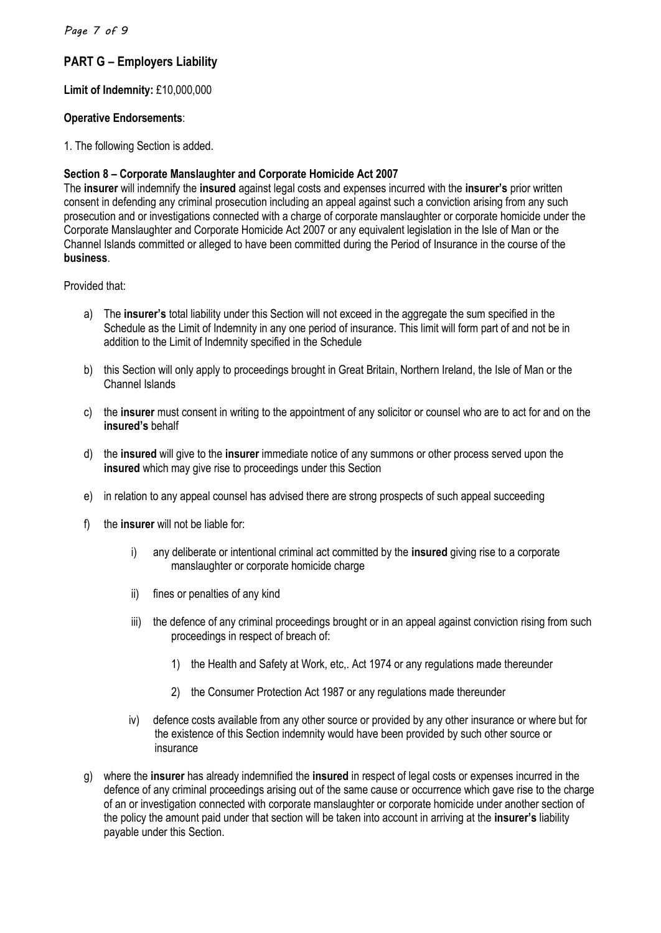#### *Page 7 of 9*

### **PART G – Employers Liability**

#### **Limit of Indemnity:** £10,000,000

#### **Operative Endorsements**:

1. The following Section is added.

#### **Section 8 – Corporate Manslaughter and Corporate Homicide Act 2007**

The **insurer** will indemnify the **insured** against legal costs and expenses incurred with the **insurer's** prior written consent in defending any criminal prosecution including an appeal against such a conviction arising from any such prosecution and or investigations connected with a charge of corporate manslaughter or corporate homicide under the Corporate Manslaughter and Corporate Homicide Act 2007 or any equivalent legislation in the Isle of Man or the Channel Islands committed or alleged to have been committed during the Period of Insurance in the course of the **business**.

Provided that:

- a) The **insurer's** total liability under this Section will not exceed in the aggregate the sum specified in the Schedule as the Limit of Indemnity in any one period of insurance. This limit will form part of and not be in addition to the Limit of Indemnity specified in the Schedule
- b) this Section will only apply to proceedings brought in Great Britain, Northern Ireland, the Isle of Man or the Channel Islands
- c) the **insurer** must consent in writing to the appointment of any solicitor or counsel who are to act for and on the **insured's** behalf
- d) the **insured** will give to the **insurer** immediate notice of any summons or other process served upon the **insured** which may give rise to proceedings under this Section
- e) in relation to any appeal counsel has advised there are strong prospects of such appeal succeeding
- f) the **insurer** will not be liable for:
	- i) any deliberate or intentional criminal act committed by the **insured** giving rise to a corporate manslaughter or corporate homicide charge
	- ii) fines or penalties of any kind
	- iii) the defence of any criminal proceedings brought or in an appeal against conviction rising from such proceedings in respect of breach of:
		- 1) the Health and Safety at Work, etc,. Act 1974 or any regulations made thereunder
		- 2) the Consumer Protection Act 1987 or any regulations made thereunder
	- iv) defence costs available from any other source or provided by any other insurance or where but for the existence of this Section indemnity would have been provided by such other source or insurance
- g) where the **insurer** has already indemnified the **insured** in respect of legal costs or expenses incurred in the defence of any criminal proceedings arising out of the same cause or occurrence which gave rise to the charge of an or investigation connected with corporate manslaughter or corporate homicide under another section of the policy the amount paid under that section will be taken into account in arriving at the **insurer's** liability payable under this Section.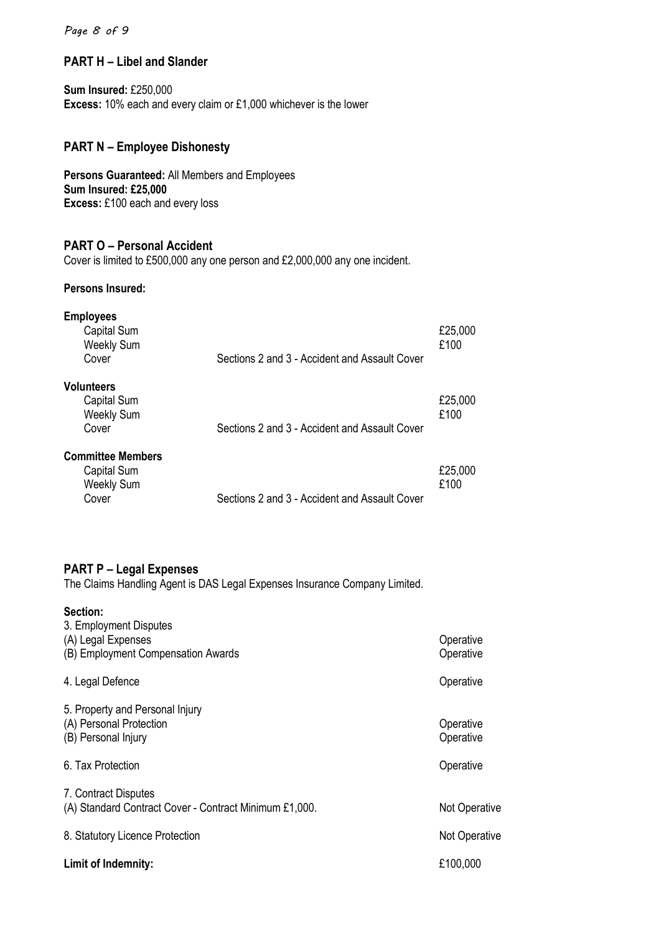#### *Page 8 of 9*

#### **PART H – Libel and Slander**

**Sum Insured:** £250,000 **Excess:** 10% each and every claim or £1,000 whichever is the lower

# **PART N – Employee Dishonesty**

**Persons Guaranteed:** All Members and Employees **Sum Insured: £25,000 Excess:** £100 each and every loss

#### **PART O – Personal Accident**

Cover is limited to £500,000 any one person and £2,000,000 any one incident.

#### **Persons Insured:**

| <b>Employees</b><br>Capital Sum<br><b>Weekly Sum</b><br>Cover         | Sections 2 and 3 - Accident and Assault Cover | £25,000<br>£100 |
|-----------------------------------------------------------------------|-----------------------------------------------|-----------------|
| <b>Volunteers</b><br>Capital Sum<br><b>Weekly Sum</b><br>Cover        | Sections 2 and 3 - Accident and Assault Cover | £25,000<br>£100 |
| <b>Committee Members</b><br>Capital Sum<br><b>Weekly Sum</b><br>Cover | Sections 2 and 3 - Accident and Assault Cover | £25,000<br>£100 |

# **PART P – Legal Expenses**

The Claims Handling Agent is DAS Legal Expenses Insurance Company Limited.

| Section:                                                                           |                        |
|------------------------------------------------------------------------------------|------------------------|
| 3. Employment Disputes<br>(A) Legal Expenses<br>(B) Employment Compensation Awards | Operative<br>Operative |
| 4. Legal Defence                                                                   | Operative              |
| 5. Property and Personal Injury<br>(A) Personal Protection<br>(B) Personal Injury  | Operative<br>Operative |
| 6. Tax Protection                                                                  | Operative              |
| 7. Contract Disputes<br>(A) Standard Contract Cover - Contract Minimum £1,000.     | Not Operative          |
| 8. Statutory Licence Protection                                                    | <b>Not Operative</b>   |
| Limit of Indemnity:                                                                | £100,000               |